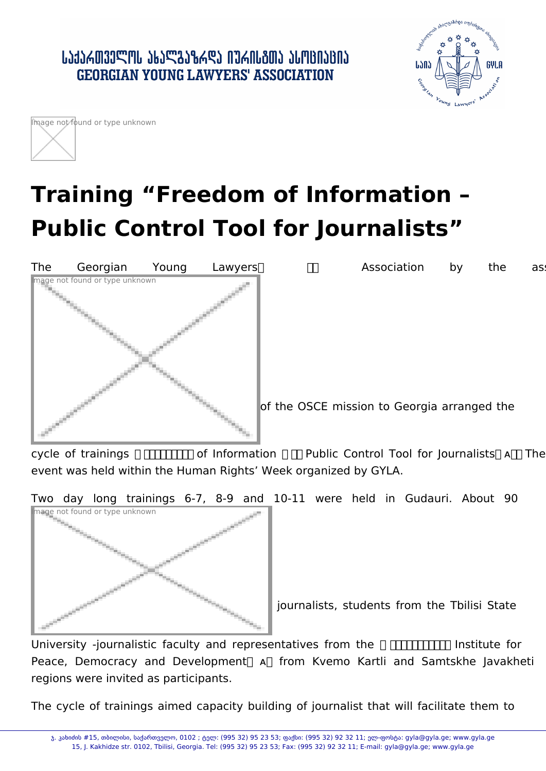## ․ ԱՆՅՆՃᲗᲕᲔᲚᲝᲡ ᲐᲮᲐᲚᲒᲐᲖᲠᲓᲐ ᲘᲣᲠᲘᲡᲒᲗᲐ ᲐᲡᲝᲪᲘᲐᲪᲘᲐ **GEORGIAN YOUNG LAWYERS' ASSOCIATION**





## **Training "Freedom of Information – Public Control Tool for Journalists"**



of the OSCE mission to Georgia arranged the

cycle of trainings  $\Box\Box\Box\Box\Box$  of Information  $\Box$  Public Control Tool for Journalists  $\Box\Box$  The event was held within the Human Rights' Week organized by GYLA.

Two day long trainings 6-7, 8-9 and 10-11 were held in Gudauri. About 90



journalists, students from the Tbilisi State

University -journalistic faculty and representatives from the **THING INSTITUTE** Institute for Peace, Democracy and Development A from Kvemo Kartli and Samtskhe Javakheti regions were invited as participants.

The cycle of trainings aimed capacity building of journalist that will facilitate them to